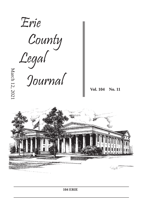

**104 ERIE**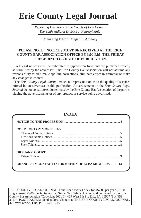# **Erie County Legal Journal**

*Reporting Decisions of the Courts of Erie County The Sixth Judicial District of Pennsylvania*

Managing Editor: Megan E. Anthony

# **PLEASE NOTE: NOTICES MUST BE RECEIVED AT THE ERIE COUNTY BAR ASSOCIATION OFFICE BY 3:00 P.M. THE FRIDAY PRECEDING THE DATE OF PUBLICATION.**

 All legal notices must be submitted in typewritten form and are published exactly as submitted by the advertiser. The Erie County Bar Association will not assume any responsibility to edit, make spelling corrections, eliminate errors in grammar or make any changes in content.

 The *Erie County Legal Journal* makes no representation as to the quality of services offered by an advertiser in this publication. Advertisements in the *Erie County Legal Journal* do not constitute endorsements by the Erie County Bar Association of the parties placing the advertisements or of any product or service being advertised.

| <b>COURT OF COMMON PLEAS</b> |  |
|------------------------------|--|
|                              |  |
|                              |  |
|                              |  |
|                              |  |
| <b>ORPHANS' COURT</b>        |  |
|                              |  |

ERIE COUNTY LEGAL JOURNAL is published every Friday for \$57.00 per year (\$1.50 single issues/\$5.00 special issues, i.e. Seated Tax Sales). Owned and published by the Erie County Bar Association (Copyright 2021©), 429 West 6th St., Erie, PA 16507 (814/459- 3111). POSTMASTER: Send address changes to THE ERIE COUNTY LEGAL JOURNAL, 429 West 6th St., Erie, PA 16507-1215.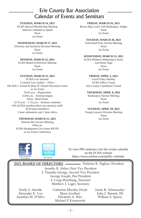# Erie County Bar Association Calendar of Events and Seminars

### **TUESDAY, MARCH 16, 2021**

ECBA Special Membership Meeting Judicial Candidate to Speak Noon via Zoom

#### **WEDNESDAY, MARCH 17, 2021**

Diversity and Inclusion Division Meeting Noon via Zoom

#### **MONDAY, MARCH 22, 2021**

ECBA Board of Directors Meeting Noon via Zoom

#### **TUESDAY, MARCH 23, 2021**

ECBA Live Seminar *Criminal Law Update + Ethics* The Will J. Schaaf & Mary B. Schaaf Education Center or via Zoom 10:45 a.m. - Registration 11:00 a.m. - Seminar begins Noon - Brief break 12:15 p.m. - 1:15 p.m. - Seminar continues \$94 (ECBA members/their non-attorney staff) \$120 (non-members) 1 hour substantive and 1 hour ethics

#### **THURSDAY, MARCH 25, 2021**

Defense Bar Section Meeting 4:00 p.m. ECBA Headquarters live (must RSVP) or via Zoom Conference



Brown Bag Lunch with Bankruptcy Judges Noon via Zoom

#### **TUESDAY, MARCH 30, 2021**

Solo/Small Firm Section Meeting Noon via Zoom

### **WEDENSDAY, MARCH 31, 2021**

ECBA Wellness Wednesdays Series *Lunchtime Yoga* Noon via Zoom

#### **FRIDAY, APRIL 2, 2021**

Good Friday Holiday ECBA Office Closed Erie County Courthouse Closed

#### **THURSDAY, APRIL 8, 2021**

Bankruptcy Section Meeting Noon via Zoom

#### **TUESDAY, APRIL 20, 2021**

Young Lawyers Division Meeting Noon via Zoom



To view PBI seminars visit the events calendar on the ECBA website Erie County Bar eriepabar https://www.eriebar.com/public-calendar https://www.eriebar.com/public-calendar

|                             | <b>2021 BOARD OF DIRECTORS</b>           |                              | Nicholas R. Pagliari, President |  |  |
|-----------------------------|------------------------------------------|------------------------------|---------------------------------|--|--|
|                             | Jennifer K. Fisher, First Vice President |                              |                                 |  |  |
|                             | J. Timothy George, Second Vice President |                              |                                 |  |  |
|                             | George Joseph, Past President            |                              |                                 |  |  |
|                             |                                          | S. Craig Shamburg, Treasurer |                                 |  |  |
| Matthew J. Lager, Secretary |                                          |                              |                                 |  |  |
|                             | Emily S. Antolik                         | Catherine Moodey Doyle       | Jamie R. Schumacher             |  |  |
|                             | Alexander K. Cox                         | Maria Goellner               | John J. Shimek, III             |  |  |
|                             | Jonathan M. D'Silva                      | Elizabeth A. Hirz            | William S. Speros               |  |  |
|                             |                                          | Michael P. Kruszewski        |                                 |  |  |
|                             |                                          |                              |                                 |  |  |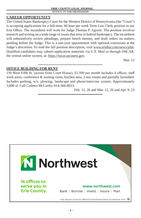#### **ERIE COUNTY LEGAL JOURNAL** NOTICE TO THE PROFESSION

# **CAREER OPPORTUNITY**

The United States Bankruptcy Court for the Western District of Pennsylvania (the "Court") is accepting applications for a full-time, 40 hour per week Term Law Clerk position in our Erie Office. The incumbent will work for Judge Thomas P. Agresti. The position involves research and writing on a wide range of issues that arise in federal bankruptcy. The incumbent will substantively review pleadings, prepare bench memos, and draft orders on matters pending before the Judge. This is a one-year appointment with optional extensions at the Judge's discretion. To read the full position description, visit www.eriebar.com/news/jobs. Qualified candidates may submit application materials via U.S. Mail or through OSCAR, the central online system, at: https://oscar.uscourts.gov.

Mar. 12

# **OFFICE BUILDING FOR RENT**

150 West Fifth St. (across from Court House), \$1,500 per month includes 4 offices, staff work areas, conference & waiting room, kitchen area, 3 rest rooms and partially furnished. Includes parking, w/s, plowing, landscape and phone/intercom system. Approximately 3,000 sf. Call Colleen McCarthy 814-566-8023.

Feb. 12, 26 and Mar. 12, 26 and Apr. 9, 23

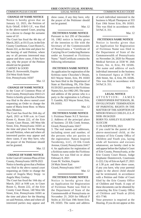**CHANGE OF NAME NOTICE** Notice is hereby given that on January 12, 2021, the Petition of Kyle Orloff, O/B/O I.F., was filed in the above-named Court, praying for a decree to change the surname name of I.F.

The Court has fixed the 4th day of March, 2021, at 10:15 a.m. in the Erie County Courthouse, Court Room G, Room 222, as the time and place for the hearing of said Petition, where any or all persons interested may appear and show cause, if they have any, why the prayer of the Petition should not be granted. CARNEY & GOOD

Brian D. Arrowsmith, Esquire 254 West Sixth Street Erie, Pennsylvania 16507

Mar. 12

#### **CHANGE OF NAME NOTICE**

In the Court of Common Pleas of Erie County, Pennsylvania 10413-21 Notice is hereby given that a Petition was filed in the above named court requesting an Order to change the name of Maria Irene Ross to Maria Ross Montero.

The Court has fixed the 26th day of April, 2021 at 9:00 a.m. in Court Room G, Room 222, of the Erie County Court House, 140 West 6th Street, Erie, Pennsylvania 16501 as the time and place for the Hearing on said Petition, when and where all interested parties may appear and show cause, if any they have, why the prayer of the Petitioner should not be granted.

Mar. 12

#### **CHANGE OF NAME NOTICE**

In the Court of Common Pleas of Erie County, Pennsylvania 10078-2021 Notice is hereby given that a Petition was filed in the above named court requesting an Order to change the name of Angela Mary Stepp to Angela Mary Goshay.

The Court has fixed the 16th day of March, 2021 at 9:00 a.m. in Court Room G, Room 222, of the Erie County Court House, 140 West 6th Street, Erie, Pennsylvania 16501 as the time and place for the Hearing on said Petition, when and where all interested parties may appear and

show cause, if any they have, why the prayer of the Petitioner should not be granted.

Mar. 12

#### **FICTITIOUS NAME NOTICE**

Pursuant to Act 295 of December 16, 1982 notice is hereby given of the intention to file with the Secretary of the Commonwealth of Pennsylvania a "Certificate of Carrying On or Conducting Business under an Assumed or Fictitious Name." Said Certificate contains the following information:

#### **FICTITIOUS NAME NOTICE**

An application for registration of the fictitious name Chocolate's Dream, 823 Wayne Street, Erie, PA 16503 has been filed in the Department of State at Harrisburg, PA, File Date 01/20/2021 pursuant to the Fictitious Names Act, Act 1982-295. The name and address of the person who is a party to the registration is LaTonya T. Gamble, 823 Wayne Street, Erie, PA 16503.

Mar. 12

#### **FICTITIOUS NAME NOTICE**

1. Fictitious Name: N.I.T. Services 2. Address of the principal place of business: 23 Elk Creek Avenue, Girard, Pennsylvania 16417

3. The real names and addresses, including street and number, of the persons who are parties to the registration: Nature Inspired Taxidermy, LLC, 23 Elk Creek Avenue, Girard, Pennsylvania 16417 4. An application for registration of a fictitious name under the Fictitious Names Act was filed on or about February 8, 2021 Grant M. Yochim, Esquire 24 Main Street East

Girard, Pennsylvania 16417

Mar. 12

### **FICTITIOUS NAME NOTICE**

Notice is hereby given that an Application for Registration of Fictitious Name was filed in the Department of State of the Commonwealth of Pennsylvania on November 25, 2020 for Official P Styles at 333 East 19th Street Erie, PA 16503. The name and address of each individual interested in the business is Miyah Thompson at 333 East 19th Street Erie, PA 16503. This was filed in accordance with 54 PaC.S. 311.

Mar. 12

#### **FICTITIOUS NAME NOTICE**

Notice is hereby given that an Application for Registration of Fictitious Name was filed in the Department of State of the Commonwealth of Pennsylvania on November 24, 2020 for Pleasant Medical Services at 3330 W. 26th Street, Ste. 4, Erie, PA 16506. The name and address of each individual interested in the business is Emmanuel Agwa at 3330 W. 26th Street, Ste. 4, Erie, PA 16506. This was filed in accordance with 54 PaC.S. 311.

Mar. 12

#### **LEGAL NOTICE**

ATTENTION: JAMES CHRISTOPHER PATTERSON, JR. INVOLUNTARY TERMINATION OF PARENTAL RIGHTS IN THE MATTER OF THE ADOPTION OF MINOR FEMALE CHILD L.E.S.-P. DOB: 09/24/2020

BORN TO: ASHLEY ELIZABETH SLOCUM

11 IN ADOPTION, 2021

If you could be the parent of the above-mentioned child, at the instance of Erie County Office of Children and Youth you, laying aside all business and excuses whatsoever, are hereby cited to be and appear before the Orphan's Court of Erie County, Pennsylvania, at the Erie County Court House, Judge Stephanie Domitrovich, Courtroom G-222, City of Erie on April 27, 2021 at 1:30 p.m. and there show cause, if any you have, why your parental rights to the above child should not be terminated, in accordance with a Petition and Order of Court filed by the Erie County Office of Children and Youth. A copy of these documents can be obtained by contacting the Erie County Office of Children and Youth at (814) 451-7740.

Your presence is required at the Hearing. If you do not appear at this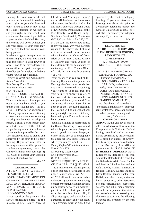Hearing, the Court may decide that you are not interested in retaining your rights to your children and your failure to appear may affect the Court's decision on whether to end your rights to your child. You are warned that even if you fail to appear at the scheduled Hearing, the Hearing will go on without you and your rights to your child may be ended by the Court without your being present.

You have a right to be represented at the Hearing by a lawyer. You should take this paper to your lawyer at once. If you do not have a lawyer, or cannot afford one, go to or telephone the office set forth below to find out where you can get legal help.

Family/Orphan's Court Administrator Room 204 - 205

Erie County Court House Erie, Pennsylvania 16501 (814) 451-6251

NOTICE REQUIRED BY ACT 101 OF 2010: 23 Pa. C.S §§2731-2742. This is to inform you of an important option that may be available to you under Pennsylvania law. Act 101 of 2010 allows for an enforceable voluntary agreement for continuing contact or communication following an adoption between an adoptive parent, a child, a birth parent and/ or a birth relative of the child, if all parties agree and the voluntary agreement is approved by the court. The agreement must be signed and approved by the court to be legally binding. If you are interested in learning more about this option for a voluntary agreement, contact the Office of Children and Youth at (814) 451-6688, or contact your adoption attorney, if you have one.

Mar. 12

#### **LEGAL NOTICE**

ATTENTION: ASHLEY ELIZABETH SLOCUM INVOLUNTARY TERMINATION OF PARENTAL RIGHTS IN THE MATTER OF THE ADOPTION OF MINOR FEMALE CHILD L.E.S.-P. DOB: 09/24/2020

11 IN ADOPTION, 2021

If you could be the parent of the above-mentioned child, at the instance of Erie County Office of

Children and Youth you, laying aside all business and excuses whatsoever, are hereby cited to be and appear before the Orphan's Court of Erie County, Pennsylvania, at the Erie County Court House, Judge Stephanie Domitrovich, Courtroom G-222, City of Erie on April 27, 2021 at 1:30 p.m. and there show cause, if any you have, why your parental rights to the above child should not be terminated, in accordance with a Petition and Order of Court filed by the Erie County Office of Children and Youth. A copy of these documents can be obtained by contacting the Erie County Office of Children and Youth at (814) 451-7740.

Your presence is required at the Hearing. If you do not appear at this Hearing, the Court may decide that you are not interested in retaining your rights to your children and your failure to appear may affect the Court's decision on whether to end your rights to your child. You are warned that even if you fail to appear at the scheduled Hearing, the Hearing will go on without you and your rights to your child may be ended by the Court without your being present.

You have a right to be represented at the Hearing by a lawyer. You should take this paper to your lawyer at once. If you do not have a lawyer, or cannot afford one, go to or telephone the office set forth below to find out where you can get legal help. Family/Orphan's Court Administrator

Room 204 - 205 Erie County Court House Erie, Pennsylvania 16501

(814) 451-6251

NOTICE REQUIRED BY ACT 101 OF 2010: 23 Pa. C.S §§2731-2742. This is to inform you of an important option that may be available to you under Pennsylvania law. Act 101 of 2010 allows for an enforceable voluntary agreement for continuing contact or communication following an adoption between an adoptive parent, a child, a birth parent and/ or a birth relative of the child, if all parties agree and the voluntary agreement is approved by the court. The agreement must be signed and approved by the court to be legally binding. If you are interested in learning more about this option for a voluntary agreement, contact the Office of Children and Youth at (814) 451-6688, or contact your adoption attorney, if you have one.

Mar. 12

**LEGAL NOTICE IN THE COURT OF COMMON PLEAS OF BUTLER COUNTY, PENNSYLVANIA**

CIVIL DIVISION A.D. No. 2020 - 10040 KEVIN J. DUNKLE, Plaintiff vs.

WILLIS A. MARBURGER and PATRICIA L. MARBURGER, husband and wife; ALVIN GLENN RANKIN and PATRICIA J. RANKIN, husband and wife; TIMOTHY RANKIN; JOHN RANKIN; RONALD RANKIN; DANIEL RANKIN; GLENN RANKIN; STEPHEN RANKIN; JOAN KALISH;

and their heirs, unknown heirs, executors, administrators, personal representatives, successors, assigns,

and all persons claiming under them, Defendants

#### **ORDER OF COURT**

**AND NOW**, this 2nd day of March, 2021, an Affidavit of Service of the Complaint with Notice to Defend having been filed and no Answer having been made by the Defendants for a period in excess of twentyfive (25) days, upon consideration of the Motion by Plaintiff and pursuant to Pa. R.C.P. 1066, **IT IS HEREBY ORDERED** that a judgment by default be entered against the Defendants directing that the Defendants, Alvin Glenn Rankin and Patricia J. Rankin, husband and wife, Timothy Rankin, John Rankin, Ronald Rankin, Daniel Rankin, Glenn Rankin, Stephen Rankin, Joan Kalish, and their heirs, unknown heirs, executors, administrators, personal representatives, successors, assigns, and all persons claiming under them, be permanently enjoined and restrained from asserting any claim or interest in or to the following described real property or any part thereof: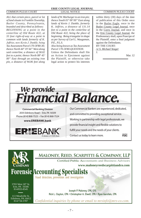*ALL that certain piece, parcel or lot of land situate in Franklin Township, Butler County, Pennsylvania, bounded and described as follows: BEGINNING at a point in the centerline of Old Route 422, at 33 foot right-of-way at a point in common with lands formerly of K. Jeffries, now Kevin J. Dunkle, being Tax Assessment Parcel 170-3F80-30; thence North 44° 19' 44" West along said centerline, a distance of 58.02 feet to a point; thence North 08° 45' 00" East through an existing iron pin, a distance of 94.06 feet along* 

#### **ERIE COUNTY LEGAL JOURNAL COMMON PLEAS COURT LEGAL NOTICE COMMON PLEAS COURT**

*lands of W. Marburger to an iron pin; thence South 01° 00' 00" East along lands of Kevin J. Dunkle, formerly K. Jeffries, a distance of 131.14 feet to a point in the centerline of Old Route 422, being the place of beginning. Being triangular in shape as per Survey of Carl L. Waugaman, P.E., P.L.S.*

*Also being known as Tax Assessment Parcel 170-3F80-QUESTION.*

Unless the Defendants shall file an Action in Ejectment against the Plaintiff, or otherwise take legal action to protect his interests

within thirty (30) days of the date of publication of this Order once in the Butler Eagle, once in the Butler County Legal Journal, once in the Corry Journal, and once in the Erie County Legal Journal, the Prothonotary shall, upon Praecipe of the Plaintiff, enter a final judgment against the Defendants. BY THE COURT:

*/s/ S. Michael Yeager* J.

Mar. 12



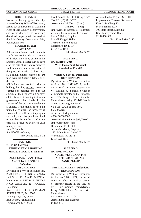#### **SHERIFF SALES**

Notice is hereby given that by virtue of sundry Writs of Execution, issued out of the Courts of Common Pleas of Erie County, Pennsylvania, and to me directed, the following described property will be sold at the Erie County Courthouse, Erie, Pennsylvania on

#### **MARCH 19, 2021 AT 10 A.M.**

All parties in interest and claimants are further notified that a schedule of distribution will be on file in the Sheriff's Office no later than 30 days after the date of sale of any property sold hereunder, and distribution of the proceeds made 10 days after said filing, unless exceptions are filed with the Sheriff's Office prior thereto.

All bidders are notified prior to bidding that they **MUST** possess a cashier's or certified check in the amount of their highest bid or have a letter from their lending institution guaranteeing that funds in the amount of the bid are immediately available. If the money is not paid immediately after the property is struck off, it will be put up again and sold, and the purchaser held responsible for any loss, and in no case will a deed be delivered until money is paid.

John T. Loomis

Sheriff of Erie County

Feb. 26 and Mar. 5, 12

#### **SALE NO. 1 Ex. #10225 of 2020 PENNSYLVANIA HOUSING FINANCE AGENCY, Plaintiff**

#### **ANGELIA R. EVANS F/K/A ANGELIA R. ROGERS, Defendant DESCRIPTION**

**v.**

By virtue of a Writ of Execution No.<br>2020-10225 PENNSYLVANIA PENNSYLVANIA HOUSING FINANCE AGENCY, Plaintiff vs. ANGELIA R. EVANS F/K/A ANGELIA R. ROGERS, Defendant Real Estate: 1317 GERMAN STREET, ERIE, PA 16503 Municipality: City of Erie Erie County, Pennsylvania Dimensions: 37 x 99.30

Deed Book/Inst#: Bk. 1388 pg. 1822 Tax I.D. (15) 2018-125 Assessment: \$5,700 (Land) \$48,800 (Bldg) Improvement thereon: a residential dwelling house as identified above Leon P. Haller, Esquire Purcell, Krug & Haller 1719 North Front Street Harrisburg, PA 17104 (717) 234-4178 Feb. 26 and Mar. 5, 12

#### **SALE NO. 2 Ex. #13119 of 2019 Wells Fargo Bank National Association, Plaintiff v.**

#### **William A. Schenk, Defendant DESCRIPTION**

By virtue of a Writ of Execution filed to No. 13119-2019, Wells Fargo Bank National Association vs. William A. Schenk, owner(s) of property situated in the Borough of Wattsburg, Erie County, Pennsylvania being 9614-16 North Street, Wattsburg, PA 16442 66 x 165, 2,428 Square Feet, 0.2500 Acres Assessment Map number: 48001006000600 Assessed Value figure: \$95,000.00 Improvement thereon: Residential Real Estate Jessica N. Manis, Esquire 1581 Main Street, Suite 200 Warrington, PA 18976 (215) 572-8111

Feb. 26 and Mar. 5, 12

#### **SALE NO. 3 Ex. #10674 of 2020 NORTHWEST BANK f/k/a NORTHWEST SAVINGS BANK, Plaintiff**

**v.**

#### **SHERI L. PARKER, Defendant DESCRIPTION**

By virtue of a Writ of Execution filed at No. 2020-10674, Northwest Bank vs. Sheri L. Parker, owner of property situate in the City of Erie, Erie County, Pennsylvania being: 3510 Edison Avenue, Erie, Pennsylvania. 40' X 100' X 40' X 100' Assessment Map Number: (50) 2-36-7

Assessed Value Figure: \$65,800.00 Improvement Thereon: Residence Kurt L. Sundberg, Esq. Marsh Schaaf, LLP 300 State Street, Suite 300 Erie, Pennsylvania 16507 (814) 456-5301

Feb. 26 and Mar. 5, 12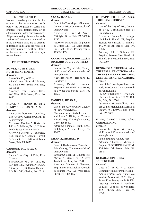#### **ESTATE NOTICES**

Notice is hereby given that in the estates of the decedents set forth below the Register of Wills has granted letters, testamentary or of administration, to the persons named. All persons having claims or demands against said estates are requested to make known the same and all persons indebted to said estates are requested to make payment without delay to the executors or their attorneys named below.

#### **FIRST PUBLICATION**

#### **BOWES, RUTH I., a/k/a RUTH IRENE BOWES, deceased**

Late of the City of Erie *Administrator:* Edward J. Bowes, Jr., c/o 246 West 10th Street, Erie, PA 16501 *Attorney:* Evan E. Adair, Esq., 246 West 10th Street, Erie, PA

16501

#### **BUJALSKI, HENRY D., a/k/a HENRY DOUGLAS BUJALSKI, deceased**

Late of Harborcreek Township, Erie County, Commonwealth of Pennsylvania

*Executrix:* Cynthia A. Boris, c/o Jeffrey D. Scibetta, Esq., 120 West Tenth Street, Erie, PA 16501 *Attorney:* Jeffrey D. Scibetta, Esq., Knox McLaughlin Gornall & Sennett, P.C., 120 West Tenth Street, Erie, PA 16501

#### **CARBONE, MICHAEL J., deceased**

Late of the City of Erie, Erie County

*Executrix:* Joy M. Bauer, P.O. Box 133, Fryburg, PA 16326 *Attorney:* Terry R. Heeter, Esquire, P.O. Box 700, Clarion, PA 16214

#### **HODAPP, THERESA, a/k/a THERESA G. HODAPP, deceased**

Late of the City of Erie, County of Erie, Commonwealth of Pennsylvania

*Executor:* James M. Hodapp, c/o John J. Shimek, III, Esquire, Sterrett Mott Breski & Shimek, 345 West 6th Street, Erie, PA 16507

*Attorney:* John J. Shimek, III, Esquire, Sterrett Mott Breski & Shimek, 345 West 6th Street, Erie, PA 16507

#### **KENDZIORA, THERESA, a/k/a THERESA A. KENDZIORA, a/k/a THERESA ANN KENDZIORA, a/k/a THERESA C. KENDZIORA, deceased**

Late of the Township of Lawrence Park, Erie County, Commonwealth of Pennsylvania

*Executrix:* Deborah A. Kendziora, c/o Knox Law Firm, 120 W. 10th St., Erie, PA 16501

*Attorney:* Christine Hall McClure, Esq., Knox McLaughlin Gornall & Sennett, P.C., 120 West 10th Street, Erie, PA 16501

# **KING, CAROL ANN, a/k/a CAROL A. KING,**

**deceased**

Late of the City of Erie, County of Erie and Commonwealth of Pennsylvania

*Administratrix:* Julie A. Rice *Attorney:* Thomas J. Minarcik, Esquire, ELDERKIN LAW FIRM, 456 West 6th Street, Erie, PA 16507

### **KUHAR, JOHN F., a/k/a JOHN KUHAR,**

**deceased**

Late of the City of Erie, Commonwealth of Pennsylvania *Administrator:* John Kuhar, c/o Vendetti & Vendetti, 3820 Liberty Street, Erie, Pennsylvania 16509 *Attorney:* Richard A. Vendetti, Esquire, Vendetti & Vendetti, 3820 Liberty Street, Erie, PA 16509

### **COCO, JEAN M.,**

#### **deceased**

Late of the Township of Millcreek, County of Erie, Commonwealth of Pennsylvania

*Executrix:* Diane M. Price, 538 Sybil Drive, Erie, PA 16505- 2156

*Attorneys:* MacDonald, Illig, Jones & Britton LLP, 100 State Street, Suite 700, Erie, Pennsylvania 16507-1459

#### **COURTNEY, RICHARD L., a/k/a RICHARD LOUIS COURTNEY, deceased**

Late of the City of Erie, County of Erie and Commonwealth of Pennsylvania

*Administrator:* Richard L. Courtney, II

*Attorney:* David J. Rhodes, Esquire, ELDERKIN LAW FIRM, 456 West 6th Street, Erie, PA 16507

### **DANIELS, SUSAN E.,**

**deceased**

Late of the City of Corry, County of Erie, Pennsylvania *Co-executrices:* Linda J. Heacox and Susan C. Hicks, c/o Thomas J. Ruth, Esq., 224 Maple Avenue, Corry, PA 16407 *Attorney:* Thomas J. Ruth, Esq., 224 Maple Avenue, Corry, PA 16407

#### **DiSANTI, MICHAEL D., deceased**

Late of Harborcreek Township, Erie County, Commonwealth of Pennsylvania *Executrix:* Ellen M. DiSanti, c/o Michael A. Fetzner, Esq., 120 West Tenth Street, Erie, PA 16501 *Attorney:* Michael A. Fetzner, Esq., Knox McLaughlin Gornall & Sennett, P.C., 120 West Tenth Street, Erie, PA 16501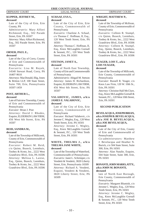## **KUPPER, JEFFREY M.,**

### **deceased**

Late of the City of Erie, Erie County, PA *Administratrix:* Mary Alfieri Richmond, Esq., 502 Parade Street, Erie, PA 16507 *Attorney:* Mary Alfieri Richmond, Esq., 502 Parade Street, Erie, PA 16507

### **ORNER, PAUL E.,**

### **deceased**

Late of the City of Corry, County of Erie and Commonwealth of Pennsylvania

*Executrix:* Lisa M. Royek, 14540 Stewart Road, Corry, PA 16407-9610

*Attorneys:* MacDonald, Illig, Jones & Britton LLP, 100 State Street, Suite 700, Erie, Pennsylvania 16507-1459

#### **POST, ARTHUR L., deceased**

Late of Fairview Township, County of Erie and Commonwealth of Pennsylvania

*Executor:* Brian J. Post

*Attorney:* David J. Rhodes, Esquire, ELDERKIN LAW FIRM, 456 West 6th Street, Erie, PA 16507

# **REID, SANDRA M.,**

#### **deceased**

Late of the Township of Millcreek, County of Erie, Commonwealth of Pennsylvania

*Executor:* Robert M. Reid, c/o Quinn, Buseck, Leemhuis, Toohey & Kroto, Inc., 2222 West Grandview Blvd., Erie, PA 16506 *Attorney:* Melissa L. Larese, Esq., Quinn, Buseck, Leemhuis, Toohey & Kroto, Inc., 2222 West Grandview Blvd., Erie, PA 16506

#### **SCHAAF, EVA S., deceased**

Late of the City of Erie, Erie County, Commonwealth of Pennsylvania *Executrix:* Charlene A. Schaaf,

c/o Thomas C. Hoffman, II, Esq., 120 West Tenth Street, Erie, PA 16501

*Attorney:* Thomas C. Hoffman, II, Esq., Knox McLaughlin Gornall & Sennett, P.C., 120 West Tenth Street, Erie, PA 16501

#### **STETSON, JANET A., deceased**

Late of North East Township, County of Erie and Commonwealth of Pennsylvania

*Administratrix:* Abigail M. Stetson *Attorney:* James H. Richardson, Esquire, ELDERKIN LAW FIRM, 456 West 6th Street, Erie, PA 16507

#### **VALAHOVIC, JAMES, a/k/a JAMES E. VALAHOVIC, deceased**

Late of the City of Erie, Erie County, Commonwealth of Pennsylvania *Executor:* Richard Valahovic, c/o Jerome C. Wegley, Esq., 120 West Tenth Street, Erie, PA 16501 *Attorney:* Jerome C. Wegley, Esq., Knox McLaughlin Gornall & Sennett, P.C., 120 West Tenth Street, Erie, PA 16501

#### **WHITE, THELMA J., a/k/a THELMA JANE WHITE, deceased**

Late of the Township of Waterford, Commonwealth of Pennsylvania *Executrix:* Janet L. Schrimper, c/o Vendetti & Vendetti, 3820 Liberty Street, Erie, Pennsylvania 16509 *Attorney:* Richard A. Vendetti, Esquire, Vendetti & Vendetti, 3820 Liberty Street, Erie, PA 16509

#### **WRIGHT, MATTHEW P., deceased**

Late of the Township of McKean, County of Erie, Commonwealth of Pennsylvania

*Executrix:* Colleen R. Stumpf, c/o Quinn, Buseck, Leemhuis, Toohey & Kroto, Inc., 2222 West Grandview Blvd., Erie, PA 16506 *Attorney:* Colleen R. Stumpf, Esq., Quinn, Buseck, Leemhuis, Toohey & Kroto, Inc., 2222 West Grandview Blvd., Erie, PA 16506

#### **YEAGER, LOIS T., a/k/a LOIS YEAGER,**

#### **deceased**

Late of the Township of Millcreek, Erie County, Commonwealth of Pennsylvania

*Executor:* Russell R. Yeager, c/o Knox Law Firm, 120 W. 10th St., Erie, PA 16501

*Attorney:* Christine Hall McClure, Esq., Knox McLaughlin Gornall & Sennett, P.C., 120 West 10th Street, Erie, PA 16501

#### **SECOND PUBLICATION**

#### **BEVELACQUA, JOSEPH BRIAN, a/k/a JOSEPH B. BEVELACQUA, a/k/a JOE B. BEVELACQUA, a/k/a JOE BEVELACQUA, deceased**

Late of the City of Erie, County of Erie and Commonwealth of Pennsylvania

*Co-administrators:* Matthew J. Bevelacqua and Heather N. Burick, c/o 504 State Street, Suite 300, Erie, PA 16501

*Attorney:* Alan Natalie, Esquire, 504 State Street, Suite 300, Erie, PA 16501

#### **BONANTI, JOHN MARIO, ATTY., a/k/a JOHN M. BONANTI, deceased**

late of North East Borough, Erie County, Commonwealth of Pennsylvania

*Executrix:* Margaret Blumish, c/o Jerome C. Wegley, Esq., 120 West Tenth Street, Erie, PA 16501

*Attorney:* Jerome C. Wegley, Esq., Knox McLaughlin Gornall & Sennett, P.C., 120 West Tenth Street, Erie, PA 16501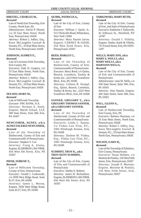#### **HIRTZEL, CHARLES M., deceased**

Late of North East Township, Erie County, North East, PA *Administrator:* David P. Hirtzel, c/o 33 East Main Street, North East, Pennsylvania 16428 *Attorney:* Robert J. Jeffery, Esq., Knox McLaughlin Gornall & Sennett, P.C., 33 East Main Street, North East, Pennsylvania 16428

#### **JOHNSON, AUDREY E., deceased**

Late of Lawrence Park Township, Erie County, PA *Executrix:* Dale D. Gregory, c/o 33 East Main Street, North East, Pennsylvania 16428 *Attorney:* Robert J. Jeffery, Esq., Knox McLaughlin Gornall & Sennett, P.C., 33 East Main Street, North East, Pennsylvania 16428

#### **NELSON, MARY M., deceased**

Late of Millcreek Township *Executor:* PNC BANK, N.A. *Attorney:* Norman A. Stark, Esquire, Marsh Schaaf, LLP, 300 State Street, Suite 300, Erie, PA 16507

#### **NEWCOMER, AGNES, a/k/a AGNES VALERIA NEWCOMER, deceased**

Late of the Township of Harborcreek, County of Erie and Commonwealth of Pennsylvania *Executor:* Stephen T. Cox *Attorney:* Craig A. Zonna, Esquire, ELDERKIN LAW FIRM, 456 West 6th Street, Erie, PA 16507

#### **PIFER, NORENE T., deceased**

Late of Millcreek Township, County of Erie, Pennsylvania *Executor:* Gerald J. Laskowski, c/o 3939 West Ridge Road, Suite B-27, Erie, PA 16506 *Attorney:* James L. Moran, Esquire, 3939 West Ridge Road, Suite B-27, Erie, PA 16506

**ERIE COUNTY LEGAL JOURNAL** ORPHANS' COURT LEGAL NOTICE ORPHANS' COURT

# **QUIRK, PATRICIA A., deceased**

Late of the City of Erie, County of Erie *Executor:* William J. Quirk, Jr.,

5117 Peckville Road, Whitesboro, New York 13492 *Attorney:* Mary Payton Jarvie, Esquire, CARNEY & GOOD, 254 West Sixth Street, Erie, Pennsylvania 16507

#### **REED, HARLEY C., deceased**

Late of the Township of Harborcreek, County of Erie, Commonwealth of Pennsylvania *Executor:* Barry Reed, c/o Quinn, Buseck, Leemhuis, Toohey & Kroto, Inc., 2222 West Grandview Blvd., Erie, PA 16506

*Attorney:* Colleen R. Stumpf, Esq., Quinn, Buseck, Leemhuis, Toohey & Kroto, Inc., 2222 West Grandview Blvd., Erie, PA 16506

#### **SANNER, GREGORY T., a/k/a GREGORY THOMAS SANNER, a/k/a GREGORY SANNER, deceased**

Late of the Township of Harborcreek, County of Erie and Commonwealth of Pennsylvania *Executrix:* Linda L. Sanner, c/o Vlahos Law Firm, P.C., 3305 Pittsburgh Avenue, Erie, PA 16508

*Attorney:* Darlene M. Vlahos, Esq., Vlahos Law Firm, P.C., 3305 Pittsburgh Avenue, Erie, PA 16508

#### **SCHMIDT, TROY K., a/k/a TROY KENT SCHMIDT, deceased**

Late of the City of Erie, County of Erie and Commonwealth of Pennsylvania

*Executrix:* Shelby S. Roberts *Attorney:* James H. Richardson, Esquire, ELDERKIN LAW FIRM, 456 West 6th Street, Erie, PA 16507

#### **TARKOWSKI, MARY RUTH, deceased**

Late of the City of Erie, County of Erie, and State of Pennsylvania *Executrix:* Katherine J. Tarkowski, 42 Jefferson St., Westfield, NY 14787

*Attorney:* Gerald J. Villella, Esquire, Dailey, Karle & Villella, 731 French Street, Erie, PA 16501- 1207

#### **WELLS, MARY ANN, a/k/a MARY A. WELLS, a/k/a MARY WELLS, a/k/a MARYANN WELLS, deceased**

Late of the City of Erie, County of Erie and Commonwealth of Pennsylvania

*Administrator:* Jann M. Wells, c/o 504 State Street, Suite 300, Erie, PA 16501

*Attorney:* Alan Natalie, Esquire, 504 State Street, Suite 300, Erie, PA 16501

# **WILL, GLENN A.,**

#### **deceased**

Late of Harborcreek Township, Erie County, Erie, PA

*Executrix:* Barbara Nazarian, c/o 33 East Main Street, North East, Pennsylvania 16428

*Attorney:* Robert J. Jeffery, Esq., Knox McLaughlin Gornall & Sennett, P.C., 33 East Main Street, North East, Pennsylvania 16428

#### **WILSON, GARY H., deceased**

Late of the Township of Edinboro, Erie County, Pennsylvania *Executrix:* Susan Holmes, c/o Martone & Peasley, 150 West Fifth Street, Erie, Pennsylvania 16507 *Attorney:* Joseph P. Martone, Esquire, Martone & Peasley, 150 West Fifth Street, Erie, Pennsylvania 16507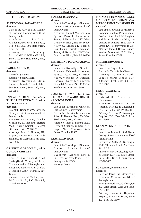#### **THIRD PUBLICATION**

#### **ALTADONNA, SALVATORE J., deceased**

Late of the City of Erie, County of Erie and Commonwealth of Pennsylvania

*Administrator:* Frank A. Altadonna, c/o Kurt L. Sundberg, Esq., Suite 300, 300 State Street, Erie, PA 16507

*Attorney:* Kurt L. Sundberg, Esq., MARSH SCHAAF, LLP, Suite 300, 300 State Street, Erie, PA 16507

### **EARLL, ARDEN C.,**

#### **deceased**

Late of Elgin Boro *Executor:* Scott C. Earll *Attorney:* Norman A. Stark, Esquire, Marsh Schaaf, LLP, 300 State Street, Suite 300, Erie, PA 16507

### **ETTWEIN, RUTH A., a/k/a RUTH ANN ETTWEIN, a/k/a RUTH ETTWEIN,**

**deceased**

Late of the Borough of Wesleyville, County of Erie, Commonwealth of Pennsylvania

*Executrix:* Kara Kreger, c/o John J. Shimek, III, Esquire, Sterrett Mott Breski & Shimek, 345 West 6th Street, Erie, PA 16507

*Attorney:* John J. Shimek, III, Esquire, Sterrett Mott Breski & Shimek, 345 West 6th Street, Erie, PA 16507

#### **GRIFFEY, GORDON M., a/k/a GORDON GRIFFEY, deceased**

Late of the Township of Springfield, County of Erie, Commonwealth of Pennsylvania *Executrix:* Kathryn Ann Griffey, 8 Treeline Court, Fishkill, NY 12524

*Attorney:* Grant M. Yochim, Esq., 24 Main St. E., P.O. Box 87, Girard, PA 16417

#### **HANNOLD, ANNA C., deceased**

Late of the Township of Millcreek, County of Erie, Commonwealth of Pennsylvania

*Executor:* Daniel Wallace, c/o Quinn, Buseck, Leemhuis, Toohey & Kroto, Inc., 2222 West Grandview Blvd., Erie, PA 16506 *Attorney:* Melissa L. Larese, Esq., Quinn, Buseck, Leemhuis, Toohey & Kroto, Inc., 2222 West Grandview Blvd., Erie, PA 16506

#### **HETHERINGTON, RONALD G., deceased**

Late of the Township of Girard *Executrix:* Deborrah K. Adams, 2925 W. 31st St., Erie, PA 16506 *Attorney:* Michael A. Fetzner, Esquire, Knox McLaughlin Gornall & Sennett, P.C., 120 West Tenth Street, Erie, PA 16501

#### **JONES, THOMAS E., a/k/a THOMAS EDWARD JONES, a/k/a TOM JONES, deceased**

Late of the Township of Millcreek, Erie County, Pennsylvania *Executrix:* Christine L. Jones, c/o Adam E. Barnett, Esq., 234 West Sixth Street, Erie, PA 16507 *Attorney:* Adam E. Barnett, Esq., Bernard Stuczynski Barnett &

Lager, PLLC, 234 West Sixth Street, Erie, PA 16507

#### **LEWIS, DAVID M., deceased**

Late of the Township of Millcreek, County of Erie and State of Pennsylvania *Executrix:* Monica Lewis, 920 Washington Place, Erie, Pennsylvania 16502 *Attorney:* None

#### **McLAUGHLIN, MARGO E., a/k/a MARGO McLAUGHLIN, a/k/a MARGO EMMA McLAUGHLIN, deceased**

Late of the Township of Millcreek, Commonwealth of Pennsylvania *Co-Executors:* Jon J. McLaughlin and Brian P. McLaughlin, c/o Vendetti & Vendetti, 3820 Liberty Street, Erie, Pennsylvania 16509 *Attorney:* James J. Bruno, Esquire, Vendetti & Vendetti, 3820 Liberty Street, Erie, PA 16509

#### **MILLER, EDWARD P., deceased**

Late of the City of Erie *Executrix:* Tammie Sue Renz *Attorney:* Norman A. Stark, Esquire, Marsh Schaaf, LLP, 300 State Street, Suite 300, Erie, PA 16507

#### **NASH, ARLENE R.,**

#### **deceased**

Late of the Township of Harborcreek

*Executrix:* Karen Miller, c/o Attorney Terrence P. Cavanaugh, P.O. Box 3243, Erie, PA 16508 *Attorney:* Terrence P. Cavanaugh, Esquire, P.O. Box 3243, Erie, PA 16508

# **OLSZEWSKI, LORETTA P.,**

#### **deceased**

Late of the Township of McKean, County of Erie, Commonwealth of Pennsylvania

*Executrix:* Sally A. Silbaugh, 6900 Thomas Road, McKean, PA 16426

*Attorneys:* MacDonald, Illig, Jones & Britton LLP, 100 State Street, Suite 700, Erie, Pennsylvania 16507-1459

#### **SCHWENK, KENNETH F., deceased**

Late of Fairview, County of Erie and Commonwealth of Pennsylvania

*Executrix:* Barbara J. Graham, c/o 333 State Street, Suite 203, Erie, PA 16507

*Attorney:* Damon C. Hopkins, Esquire, 333 State Street, Suite 203, Erie, PA 16507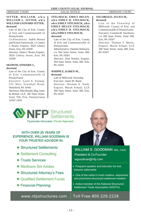#### **SITTER, WILLIAM, a/k/a WILLIAM L. SITTER, a/k/a WILLIAM LEONARD SITTER, deceased**

Late of the City of Erie, County of Erie and Commonwealth of Pennsylvania

*Co-Executrices:* Judith Horton and Karen Frackowiak, c/o James J. Bruno, Esquire, 3820 Liberty Street, Erie, PA 16509

*Attorney: James J. Bruno, Esquire,* 3820 Liberty Street, Erie, PA 16509

# **SKOPOW, EDWARD J.,**

#### **deceased**

Late of the City of Erie, County of Erie, Commonwealth of Pennsylvania

*Executrix:* Carol A. Furman, 232 West Townhall Road, Waterford, PA 16441

*Attorneys:* MacDonald, Illig, Jones & Britton LLP, 100 State Street, Suite 700, Erie, Pennsylvania 16507-1459

#### **STELMACK, EMILY HELEN, a/k/a EMILY H. STELMACK, a/k/a EMILY STELMACK, a/k/a EMILY HELEN STELMACH, a/k/a EMILY H. STELMACH, a/k/a EMILY STELMACH, deceased**

Late of the City of Erie, County of Erie and Commonwealth of Pennsylvania *Administratrix:* Darlene Stelmack, c/o 504 State Street, Suite 300, Erie, PA 16501 *Attorney:* Alan Natalie, Esquire, 504 State Street, Suite 300, Erie, PA 16501

#### **WHIPPLE, KAREN M., deceased**

Late of Millcreek Township *Executor:* Justin M. Bond *Attorney:* Norman A. Stark, Esquire, Marsh Schaaf, LLP, 300 State Street, Suite 300, Erie, PA 16507

#### **YACOBOZZI, JULIUS M., deceased**

Late of the Township of Millcreek, County of Erie, and Commonwealth of Pennsylvania *Executrix:* Cornelia M. Yacobozzi, c/o 300 State Street, Suite 300, Erie, PA 16507

*Attorney:* Thomas V. Myers, Esquire, Marsh Schaaf, LLP, 300 State Street, Suite 300, Erie, PA 16507



Passionate Advocates. Proven Approach.

## WITH OVER 25 YEARS OF **EXPERIENCE, WILLIAM GOODMAN IS** YOUR TRUSTED ADVISOR IN:

- Structured Settlements
- Settlement Consulting
- Trusts Services
- <sup>●</sup> Medicare Set Asides
- <sup>●</sup> Structured Attorney's Fees
- · Qualified Settlement Funds
- Financial Planning

# www.nfpstructures.com



**WILLIAM S. GOODMAN MSL CSSC** President & Co-Founder wgoodman@nfp.com

- Frequent speaker and educator for trial lawyers nationwide
- One of the nation's most creative, responsive and prominent structured settlement leaders
- Active member of the National Structured **Settlement Trade Association (NSSTA)**

Toll Free 800.229.2228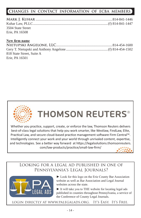# **CHANGES IN CONTACT INFORMATION OF ECBA MEMBERS**

| 3504 State Street |  |
|-------------------|--|
| Erie, PA 16508    |  |

### **New firm name**

| 818 State Street, Suite A |  |
|---------------------------|--|
| Erie, PA 16501            |  |



**THOMSON REUTERS®** 

Whether you practice, support, create, or enforce the law, Thomson Reuters delivers best-of-class legal solutions that help you work smarter, like Westlaw, FindLaw, Elite, Practical Law, and secure cloud-based practice management software Firm Central™.  Intelligently connect your work and your world through unrivaled content, expertise, and technologies. See a better way forward at https://legalsolutions.thomsonreuters. com/law-products/practice/small-law-firm/

# Looking for a legal ad published in one of Pennsylvania's Legal Journals?



► Look for this logo on the Erie County Bar Association website as well as Bar Association and Legal Journal websites across the state.

► It will take you to THE website for locating legal ads published in counties throughout Pennsylvania, a service of the Conference of County Legal Journals.

login directly at www.palegalads.org. It's Easy. It's Free.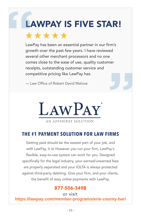# LAWPAY IS FIVE STAR! **PAY IS FIVE STAR!** LAWPAY IS FIVE SIAR!

LawPay has been an essential partner in our firm's **compassed to the part of the part of the part of the part o** growth over the past few years. I have reviewed several other merchant processors and no one comes close to the ease of use, quality customer receipts, outstanding customer service and competitive pricing like LawPay has. competitive pricing like LawPay has. LawPay has been an essential partner in our firm's

— Law Office of Robert David Malove — Law Office of Robert David Malove

\*\*\*\*\*



AN AFFINIPAY SOLUTION

### **THE #1 PAYMENT SOLUTION FOR LAW FIRMS THE #1 PAYMENT SOLUTION FOR LAW FIRMS THE #1 PAYMENT SOLUTION FOR LAW FIRMS**

Getting paid should be the easiest part of your job, and  $\qquad$ with LawPay, it is! However you run your firm, LawPay's  $\begin{vmatrix} \cdot & \cdot & \cdot & \cdot \end{vmatrix}$ flexible, easy-to-use system can work for you. Designed specifically for the legal industry, your earned/unearned fees  $\hspace{1cm}$ are properly separated and your IOLTA is always protected **comparately** against third-party debiting. Give your firm, and your clients, the benefit of easy online payments with LawPay. the benefit of easy online payments with LawPay. Getting paid should be the easiest part of your job, and

# 877-506-3498

 $\overline{\text{or visit}}$ **https://lawpay.com/member-programs/erie-county-bar/**